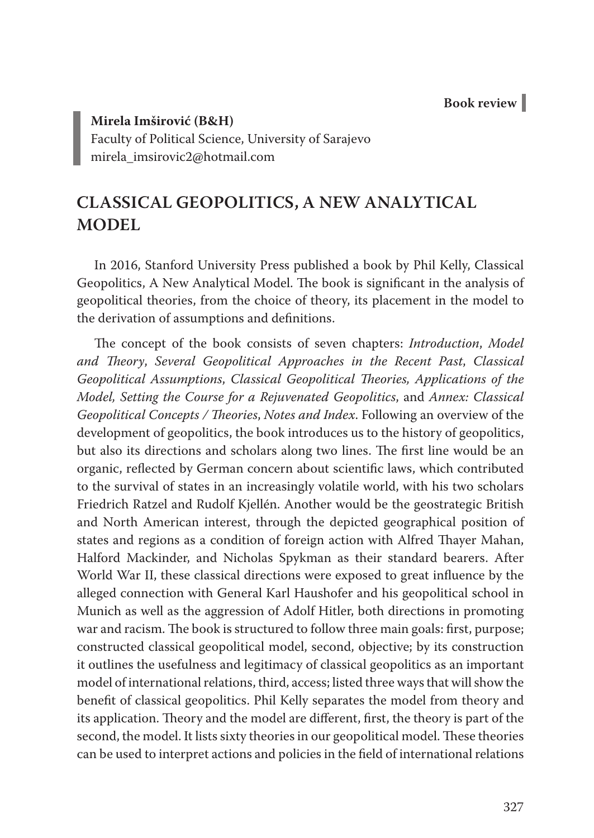**Book review**

**Mirela Imširović (B&H)** Faculty of Political Science, University of Sarajevo mirela\_imsirovic2@hotmail.com

## **CLASSICAL GEOPOLITICS, A NEW ANALYTICAL MODEL**

In 2016, Stanford University Press published a book by Phil Kelly, Classical Geopolitics, A New Analytical Model. The book is significant in the analysis of geopolitical theories, from the choice of theory, its placement in the model to the derivation of assumptions and definitions.

The concept of the book consists of seven chapters: *Introduction*, *Model and Theory*, *Several Geopolitical Approaches in the Recent Past*, *Classical Geopolitical Assumptions*, *Classical Geopolitical Theories, Applications of the Model, Setting the Course for a Rejuvenated Geopolitics*, and *Annex: Classical Geopolitical Concepts / Theories*, *Notes and Index*. Following an overview of the development of geopolitics, the book introduces us to the history of geopolitics, but also its directions and scholars along two lines. The first line would be an organic, reflected by German concern about scientific laws, which contributed to the survival of states in an increasingly volatile world, with his two scholars Friedrich Ratzel and Rudolf Kjellén. Another would be the geostrategic British and North American interest, through the depicted geographical position of states and regions as a condition of foreign action with Alfred Thayer Mahan, Halford Mackinder, and Nicholas Spykman as their standard bearers. After World War II, these classical directions were exposed to great influence by the alleged connection with General Karl Haushofer and his geopolitical school in Munich as well as the aggression of Adolf Hitler, both directions in promoting war and racism. The book is structured to follow three main goals: first, purpose; constructed classical geopolitical model, second, objective; by its construction it outlines the usefulness and legitimacy of classical geopolitics as an important model of international relations, third, access; listed three ways that will show the benefit of classical geopolitics. Phil Kelly separates the model from theory and its application. Theory and the model are different, first, the theory is part of the second, the model. It lists sixty theories in our geopolitical model. These theories can be used to interpret actions and policies in the field of international relations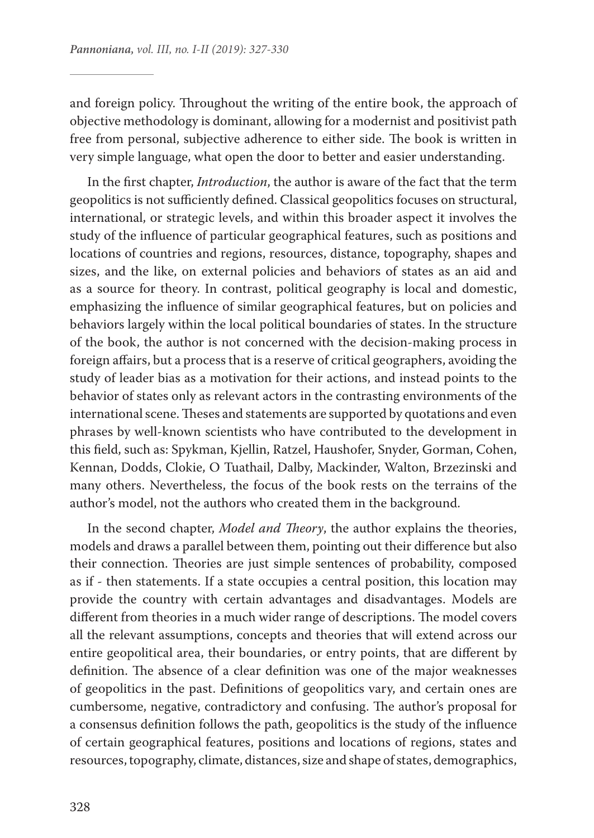and foreign policy. Throughout the writing of the entire book, the approach of objective methodology is dominant, allowing for a modernist and positivist path free from personal, subjective adherence to either side. The book is written in very simple language, what open the door to better and easier understanding.

In the first chapter, *Introduction*, the author is aware of the fact that the term geopolitics is not sufficiently defined. Classical geopolitics focuses on structural, international, or strategic levels, and within this broader aspect it involves the study of the influence of particular geographical features, such as positions and locations of countries and regions, resources, distance, topography, shapes and sizes, and the like, on external policies and behaviors of states as an aid and as a source for theory. In contrast, political geography is local and domestic, emphasizing the influence of similar geographical features, but on policies and behaviors largely within the local political boundaries of states. In the structure of the book, the author is not concerned with the decision-making process in foreign affairs, but a process that is a reserve of critical geographers, avoiding the study of leader bias as a motivation for their actions, and instead points to the behavior of states only as relevant actors in the contrasting environments of the international scene. Theses and statements are supported by quotations and even phrases by well-known scientists who have contributed to the development in this field, such as: Spykman, Kjellin, Ratzel, Haushofer, Snyder, Gorman, Cohen, Kennan, Dodds, Clokie, O Tuathail, Dalby, Mackinder, Walton, Brzezinski and many others. Nevertheless, the focus of the book rests on the terrains of the author's model, not the authors who created them in the background.

In the second chapter, *Model and Theory*, the author explains the theories, models and draws a parallel between them, pointing out their difference but also their connection. Theories are just simple sentences of probability, composed as if - then statements. If a state occupies a central position, this location may provide the country with certain advantages and disadvantages. Models are different from theories in a much wider range of descriptions. The model covers all the relevant assumptions, concepts and theories that will extend across our entire geopolitical area, their boundaries, or entry points, that are different by definition. The absence of a clear definition was one of the major weaknesses of geopolitics in the past. Definitions of geopolitics vary, and certain ones are cumbersome, negative, contradictory and confusing. The author's proposal for a consensus definition follows the path, geopolitics is the study of the influence of certain geographical features, positions and locations of regions, states and resources, topography, climate, distances, size and shape of states, demographics,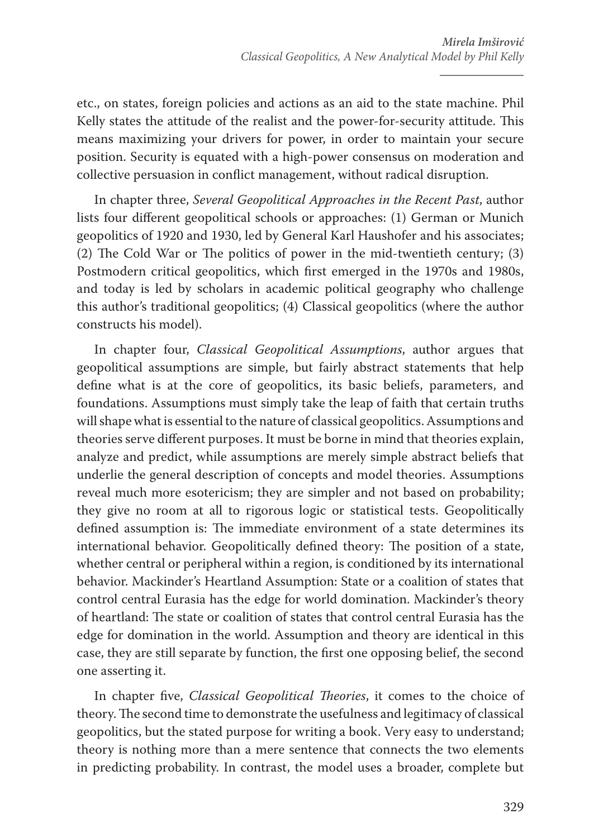etc., on states, foreign policies and actions as an aid to the state machine. Phil Kelly states the attitude of the realist and the power-for-security attitude. This means maximizing your drivers for power, in order to maintain your secure position. Security is equated with a high-power consensus on moderation and collective persuasion in conflict management, without radical disruption.

In chapter three, *Several Geopolitical Approaches in the Recent Past*, author lists four different geopolitical schools or approaches: (1) German or Munich geopolitics of 1920 and 1930, led by General Karl Haushofer and his associates; (2) The Cold War or The politics of power in the mid-twentieth century; (3) Postmodern critical geopolitics, which first emerged in the 1970s and 1980s, and today is led by scholars in academic political geography who challenge this author's traditional geopolitics; (4) Classical geopolitics (where the author constructs his model).

In chapter four, *Classical Geopolitical Assumptions*, author argues that geopolitical assumptions are simple, but fairly abstract statements that help define what is at the core of geopolitics, its basic beliefs, parameters, and foundations. Assumptions must simply take the leap of faith that certain truths will shape what is essential to the nature of classical geopolitics. Assumptions and theories serve different purposes. It must be borne in mind that theories explain, analyze and predict, while assumptions are merely simple abstract beliefs that underlie the general description of concepts and model theories. Assumptions reveal much more esotericism; they are simpler and not based on probability; they give no room at all to rigorous logic or statistical tests. Geopolitically defined assumption is: The immediate environment of a state determines its international behavior. Geopolitically defined theory: The position of a state, whether central or peripheral within a region, is conditioned by its international behavior. Mackinder's Heartland Assumption: State or a coalition of states that control central Eurasia has the edge for world domination. Mackinder's theory of heartland: The state or coalition of states that control central Eurasia has the edge for domination in the world. Assumption and theory are identical in this case, they are still separate by function, the first one opposing belief, the second one asserting it.

In chapter five, *Classical Geopolitical Theories*, it comes to the choice of theory. The second time to demonstrate the usefulness and legitimacy of classical geopolitics, but the stated purpose for writing a book. Very easy to understand; theory is nothing more than a mere sentence that connects the two elements in predicting probability. In contrast, the model uses a broader, complete but